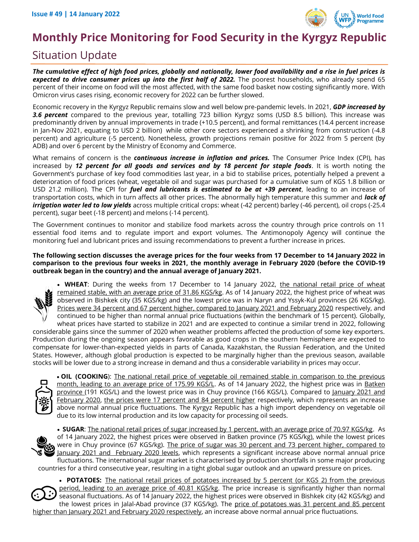

# **Monthly Price Monitoring for Food Security in the Kyrgyz Republic**

# Situation Update

*The cumulative effect of high food prices, globally and nationally, lower food availability and a rise in fuel prices is*  expected to drive consumer prices up into the first half of 2022. The poorest households, who already spend 65 percent of their income on food will the most affected, with the same food basket now costing significantly more. With Omicron virus cases rising, economic recovery for 2022 can be further slowed.

Economic recovery in the Kyrgyz Republic remains slow and well below pre-pandemic levels. In 2021, *GDP increased by 3.6 percent* compared to the previous year, totalling 723 billion Kyrgyz soms (USD 8.5 billion). This increase was predominantly driven by annual improvements in trade (+10.5 percent), and formal remittances (14.4 percent increase in Jan-Nov 2021, equating to USD 2 billion) while other core sectors experienced a shrinking from construction (-4.8 percent) and agriculture (-5 percent). Nonetheless, growth projections remain positive for 2022 from 5 percent (by ADB) and over 6 percent by the Ministry of Economy and Commerce.

What remains of concern is the *continuous increase in inflation and prices.* The Consumer Price Index (CPI), has increased by *12 percent for all goods and services and by 18 percent for staple foods*. It is worth noting the Government's purchase of key food commodities last year, in a bid to stabilise prices, potentially helped a prevent a deterioration of food prices (wheat, vegetable oil and sugar was purchased for a cumulative sum of KGS 1.8 billion or USD 21.2 million). The CPI for *fuel and lubricants is estimated to be at +39 percent*, leading to an increase of transportation costs, which in turn affects all other prices. The abnormally high temperature this summer and *lack of irrigation water led to low yields* across multiple critical crops: wheat (-42 percent) barley (-46 percent), oil crops (-25.4 percent), sugar beet (-18 percent) and melons (-14 percent).

The Government continues to monitor and stabilize food markets across the country through price controls on 11 essential food items and to regulate import and export volumes. The Antimonopoly Agency will continue the monitoring fuel and lubricant prices and issuing recommendations to prevent a further increase in prices.

#### **The following section discusses the average prices for the four weeks from 17 December to 14 January 2022 in comparison to the previous four weeks in 2021, the monthly average in February 2020 (before the COVID-19 outbreak began in the country) and the annual average of January 2021.**



• WHEAT: During the weeks from 17 December to 14 January 2022, the national retail price of wheat remained stable, with an average price of 31.86 KGS/kg. As of 14 January 2022, the highest price of wheat was observed in Bishkek city (35 KGS/kg) and the lowest price was in Naryn and Yssyk-Kul provinces (26 KGS/kg). Prices were 34 percent and 67 percent higher, compared to January 2021 and February 2020 respectively, and continued to be higher than normal annual price fluctuations (within the benchmark of 15 percent). Globally, wheat prices have started to stabilize in 2021 and are expected to continue a similar trend in 2022, following considerable gains since the summer of 2020 when weather problems affected the production of some key exporters.

Production during the ongoing season appears favorable as good crops in the southern hemisphere are expected to compensate for lower-than-expected yields in parts of Canada, Kazakhstan, the Russian Federation, and the United States. However, although global production is expected to be marginally higher than the previous season, available stocks will be lower due to a strong increase in demand and thus a considerable variability in prices may occur.



• **OIL (COOKING**): The national retail price of vegetable oil remained stable in comparison to the previous month, leading to an average price of 175.99 KGS/L. As of 14 January 2022, the highest price was in Batken province (191 KGS/L) and the lowest price was in Chuy province (166 KGS/L). Compared to January 2021 and February 2020, the prices were 17 percent and 84 percent higher respectively, which represents an increase above normal annual price fluctuations. The Kyrgyz Republic has a high import dependency on vegetable oil due to its low internal production and its low capacity for processing oil seeds.



• **SUGAR**: The national retail prices of sugar increased by 1 percent, with an average price of 70.97 KGS/kg. As of 14 January 2022, the highest prices were observed in Batken province (75 KGS/kg), while the lowest prices were in Chuy province (67 KGS/kg). The price of sugar was 30 percent and 73 percent higher, compared to January 2021 and February 2020 levels, which represents a significant increase above normal annual price fluctuations. The international sugar market is characterised by production shortfalls in some major producing countries for a third consecutive year, resulting in a tight global sugar outlook and an upward pressure on prices.

• **POTATOES:** The national retail prices of potatoes increased by 5 percent (or KGS 2) from the previous period, leading to an average price of 40.81 KGS/kg. The price increase is significantly higher than normal seasonal fluctuations. As of 14 January 2022, the highest prices were observed in Bishkek city (42 KGS/kg) and the lowest prices in Jalal-Abad province (37 KGS/kg). The price of potatoes was 31 percent and 85 percent higher than January 2021 and February 2020 respectively, an increase above normal annual price fluctuations.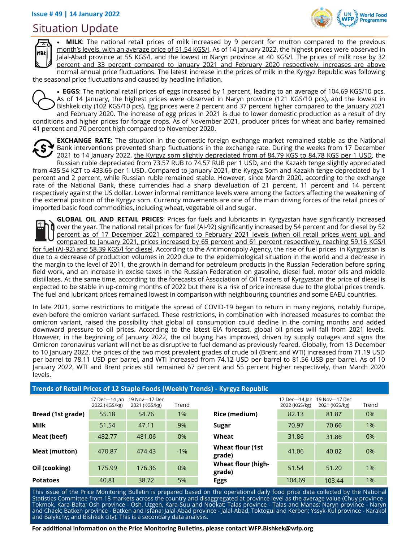## Situation Update





• **MILK**: The national retail prices of milk increased by 9 percent for mutton compared to the previous month's levels, with an average price of 51.54 KGS/l. As of 14 January 2022, the highest prices were observed in Jalal-Abad province at 55 KGS/l, and the lowest in Naryn province at 40 KGS/l. The prices of milk rose by 32 percent and 33 percent compared to January 2021 and February 2020 respectively, increases are above normal annual price fluctuations. The latest increase in the prices of milk in the Kyrgyz Republic was following

the seasonal price fluctuations and caused by headline inflation.

• **EGGS**: The national retail prices of eggs increased by 1 percent, leading to an average of 104.69 KGS/10 pcs. As of 14 January, the highest prices were observed in Naryn province (121 KGS/10 pcs), and the lowest in Bishkek city (102 KGS/10 pcs). Egg prices were 2 percent and 37 percent higher compared to the January 2021 and February 2020. The increase of egg prices in 2021 is due to lower domestic production as a result of dry conditions and higher prices for forage crops. As of November 2021, producer prices for wheat and barley remained 41 percent and 70 percent high compared to November 2020.



**EXCHANGE RATE**: The situation in the domestic foreign exchange market remained stable as the National Bank interventions prevented sharp fluctuations in the exchange rate. During the weeks from 17 December 2021 to 14 January 2022, the Kyrgyz som slightly depreciated from of 84.79 KGS to 84.78 KGS per 1 USD, the Russian ruble depreciated from 73.57 RUB to 74.57 RUB per 1 USD, and the Kazakh tenge slightly appreciated

from 435.54 KZT to 433.66 per 1 USD. Compared to January 2021, the Kyrgyz Som and Kazakh tenge depreciated by 1 percent and 2 percent, while Russian ruble remained stable. However, since March 2020, according to the exchange rate of the National Bank, these currencies had a sharp devaluation of 21 percent, 11 percent and 14 percent respectively against the US dollar. Lower informal remittance levels were among the factors affecting the weakening of the external position of the Kyrgyz som. Currency movements are one of the main driving forces of the retail prices of imported basic food commodities, including wheat, vegetable oil and sugar.

**GLOBAL OIL AND RETAIL PRICES**: Prices for fuels and lubricants in Kyrgyzstan have significantly increased over the year. The national retail prices for fuel (AI-92) significantly increased by 54 percent and for diesel by 52 percent as of 17 December 2021 compared to February 2021 levels (when oil retail prices went up), and compared to January 2021, prices increased by 65 percent and 61 percent respectively, reaching 59.16 KGS/l for fuel (AI-92) and 58.39 KGS/I for diesel. According to the Antimonopoly Agency, the rise of fuel prices in Kyrgyzstan is due to a decrease of production volumes in 2020 due to the epidemiological situation in the world and a decrease in the margin to the level of 2011, the growth in demand for petroleum products in the Russian Federation before spring field work, and an increase in excise taxes in the Russian Federation on gasoline, diesel fuel, motor oils and middle distillates. At the same time, according to the forecasts of Association of Oil Traders of Kyrgyzstan the price of diesel is expected to be stable in up-coming months of 2022 but there is a risk of price increase due to the global prices trends. The fuel and lubricant prices remained lowest in comparison with neighbouring countries and some EAEU countries.

In late 2021, some restrictions to mitigate the spread of COVID-19 began to return in many regions, notably Europe, even before the omicron variant surfaced. These restrictions, in combination with increased measures to combat the omicron variant, raised the possibility that global oil consumption could decline in the coming months and added downward pressure to oil prices. According to the latest EIA forecast, global oil prices will fall from 2021 levels. However, in the beginning of January 2022, the oil buying has improved, driven by supply outages and signs the Omicron coronavirus variant will not be as disruptive to fuel demand as previously feared. Globally, from 13 December to 10 January 2022, the prices of the two most prevalent grades of crude oil (Brent and WTI) increased from 71.19 USD per barrel to 78.11 USD per barrel, and WTI increased from 74.12 USD per barrel to 81.56 USB per barrel. As of 10 January 2022, WTI and Brent prices still remained 67 percent and 55 percent higher respectively, than March 2020 levels.

| Trends of Retail Prices of 12 Staple Foods (Weekly Trends) - Kyrgyz Republic |                                |                                |       |                                     |                                |                                |       |  |  |  |  |  |  |
|------------------------------------------------------------------------------|--------------------------------|--------------------------------|-------|-------------------------------------|--------------------------------|--------------------------------|-------|--|--|--|--|--|--|
|                                                                              | 17 Dec-14 Jan<br>2022 (KGS/kg) | 19 Nov-17 Dec<br>2021 (KGS/kg) | Trend |                                     | 17 Dec-14 Jan<br>2022 (KGS/kg) | 19 Nov-17 Dec<br>2021 (KGS/kg) | Trend |  |  |  |  |  |  |
| Bread (1st grade)                                                            | 55.18                          | 54.76                          | 1%    | Rice (medium)                       | 82.13                          | 81.87                          | 0%    |  |  |  |  |  |  |
| <b>Milk</b>                                                                  | 51.54                          | 47.11                          | 9%    | Sugar                               | 70.97                          | 70.66                          | $1\%$ |  |  |  |  |  |  |
| Meat (beef)                                                                  | 482.77                         | 481.06                         | 0%    | Wheat                               | 31.86                          | 31.86                          | 0%    |  |  |  |  |  |  |
| Meat (mutton)                                                                | 470.87                         | 474.43                         | $-1%$ | <b>Wheat flour (1st</b><br>grade)   | 41.06                          | 40.82                          | 0%    |  |  |  |  |  |  |
| Oil (cooking)                                                                | 175.99                         | 176.36                         | 0%    | <b>Wheat flour (high-</b><br>grade) | 51.54                          | 51.20                          | $1\%$ |  |  |  |  |  |  |
| <b>Potatoes</b>                                                              | 40.81                          | 38.72                          | 5%    | <b>Eggs</b>                         | 104.69                         | 103.44                         | $1\%$ |  |  |  |  |  |  |

This issue of the Price Monitoring Bulletin is prepared based on the operational daily food price data collected by the National Statistics Committee from 18 markets across the country and disaggregated at province level as the average value (Chuy province - Tokmok, Kara-Balta; Osh province - Osh, Uzgen, Kara-Suu and Nookat; Talas province - Talas and Manas; Naryn province - Naryn and Chaek; Batken province - Batken and Isfana; Jalal-Abad province - Jalal-Abad, Toktogul and Kerben; Yssyk-Kul province - Karakol and Balykchy; and Bishkek city). This is a secondary data analysis.

**For additional information on the Price Monitoring Bulletins, please contact WFP.Bishkek@wfp.org**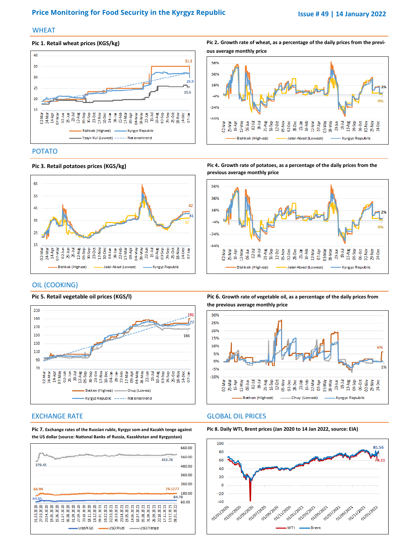### **Price Monitoring for Food Security in the Kyrgyz Republic <b>Issue # 49 | 14 January 2022**

#### **WHEAT**

#### **Pic 1. Retail wheat prices (KGS/kg)**



**Pic 2. Growth rate of wheat, as a percentage of the daily prices from the previous average monthly price**



### POTATO



**Pic 3. Retail potatoes prices (KGS/kg)** 

**Pic 4. Growth rate of potatoes, as a percentage of the daily prices from the previous average monthly price**



#### OIL (COOKING)



**Pic 5. Retail vegetable oil prices (KGS/l)** 

**Pic 6. Growth rate of vegetable oil, as a percentage of the daily prices from the previous average monthly price**



#### EXCHANGE RATE GLOBAL OIL PRICES





**Pic 7. Exchange rates of the Russian ruble, Kyrgyz som and Kazakh tenge against the US dollar (source: National Banks of Russia, Kazakhstan and Kyrgyzstan)**